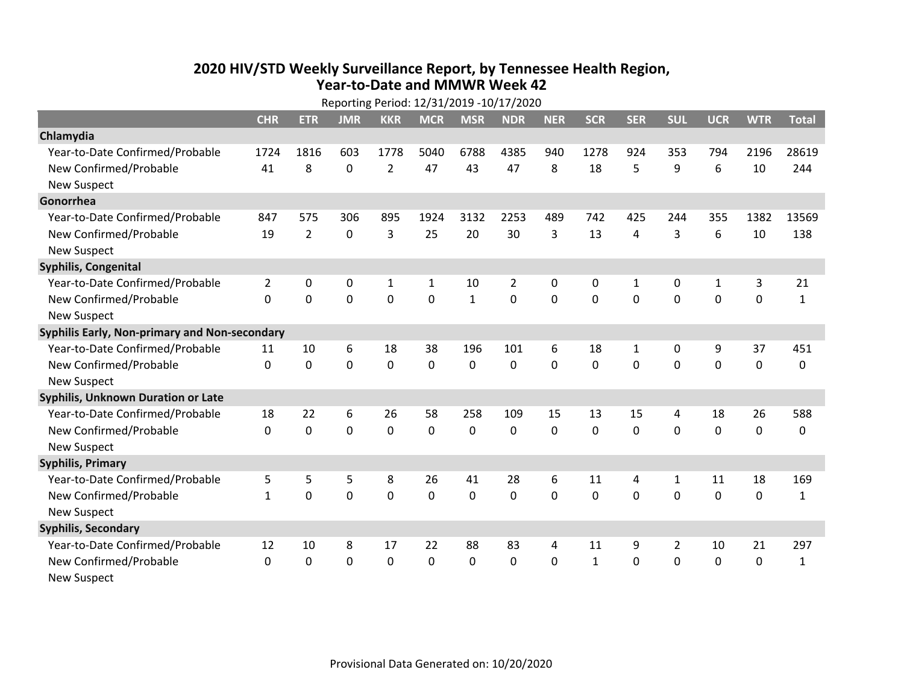## **2020 HIV /STD Weekly Surveillance Report, by Tennessee Health Region, Year‐to‐Date and MMWR Week 42**

|                                               | Reporting Period: 12/31/2019 -10/17/2020 |             |             |                |              |              |                |              |              |              |              |              |             |              |
|-----------------------------------------------|------------------------------------------|-------------|-------------|----------------|--------------|--------------|----------------|--------------|--------------|--------------|--------------|--------------|-------------|--------------|
|                                               | <b>CHR</b>                               | <b>ETR</b>  | <b>JMR</b>  | <b>KKR</b>     | <b>MCR</b>   | <b>MSR</b>   | <b>NDR</b>     | <b>NER</b>   | <b>SCR</b>   | <b>SER</b>   | <b>SUL</b>   | <b>UCR</b>   | <b>WTR</b>  | <b>Total</b> |
| Chlamydia                                     |                                          |             |             |                |              |              |                |              |              |              |              |              |             |              |
| Year-to-Date Confirmed/Probable               | 1724                                     | 1816        | 603         | 1778           | 5040         | 6788         | 4385           | 940          | 1278         | 924          | 353          | 794          | 2196        | 28619        |
| New Confirmed/Probable                        | 41                                       | 8           | 0           | $\overline{2}$ | 47           | 43           | 47             | 8            | 18           | 5            | 9            | 6            | 10          | 244          |
| <b>New Suspect</b>                            |                                          |             |             |                |              |              |                |              |              |              |              |              |             |              |
| Gonorrhea                                     |                                          |             |             |                |              |              |                |              |              |              |              |              |             |              |
| Year-to-Date Confirmed/Probable               | 847                                      | 575         | 306         | 895            | 1924         | 3132         | 2253           | 489          | 742          | 425          | 244          | 355          | 1382        | 13569        |
| New Confirmed/Probable                        | 19                                       | 2           | $\Omega$    | 3              | 25           | 20           | 30             | 3            | 13           | 4            | 3            | 6            | 10          | 138          |
| <b>New Suspect</b>                            |                                          |             |             |                |              |              |                |              |              |              |              |              |             |              |
| <b>Syphilis, Congenital</b>                   |                                          |             |             |                |              |              |                |              |              |              |              |              |             |              |
| Year-to-Date Confirmed/Probable               | $\overline{2}$                           | 0           | 0           | $\mathbf 1$    | $\mathbf{1}$ | 10           | $\overline{2}$ | $\mathbf 0$  | 0            | $\mathbf{1}$ | 0            | $\mathbf{1}$ | 3           | 21           |
| New Confirmed/Probable                        | $\Omega$                                 | $\mathbf 0$ | $\mathbf 0$ | 0              | 0            | $\mathbf{1}$ | 0              | $\Omega$     | $\Omega$     | $\mathbf 0$  | 0            | 0            | $\mathbf 0$ | $\mathbf{1}$ |
| <b>New Suspect</b>                            |                                          |             |             |                |              |              |                |              |              |              |              |              |             |              |
| Syphilis Early, Non-primary and Non-secondary |                                          |             |             |                |              |              |                |              |              |              |              |              |             |              |
| Year-to-Date Confirmed/Probable               | 11                                       | 10          | 6           | 18             | 38           | 196          | 101            | 6            | 18           | $\mathbf{1}$ | 0            | 9            | 37          | 451          |
| New Confirmed/Probable                        | 0                                        | $\mathbf 0$ | 0           | 0              | 0            | $\mathbf 0$  | 0              | 0            | 0            | $\mathbf 0$  | $\mathbf 0$  | $\mathbf 0$  | $\mathbf 0$ | 0            |
| <b>New Suspect</b>                            |                                          |             |             |                |              |              |                |              |              |              |              |              |             |              |
| <b>Syphilis, Unknown Duration or Late</b>     |                                          |             |             |                |              |              |                |              |              |              |              |              |             |              |
| Year-to-Date Confirmed/Probable               | 18                                       | 22          | 6           | 26             | 58           | 258          | 109            | 15           | 13           | 15           | 4            | 18           | 26          | 588          |
| New Confirmed/Probable                        | $\Omega$                                 | $\mathbf 0$ | $\mathbf 0$ | 0              | 0            | 0            | 0              | $\Omega$     | $\Omega$     | $\Omega$     | 0            | 0            | $\mathbf 0$ | 0            |
| <b>New Suspect</b>                            |                                          |             |             |                |              |              |                |              |              |              |              |              |             |              |
| <b>Syphilis, Primary</b>                      |                                          |             |             |                |              |              |                |              |              |              |              |              |             |              |
| Year-to-Date Confirmed/Probable               | 5                                        | 5           | 5           | 8              | 26           | 41           | 28             | 6            | 11           | 4            | $\mathbf{1}$ | 11           | 18          | 169          |
| New Confirmed/Probable                        | $\mathbf{1}$                             | $\Omega$    | 0           | 0              | 0            | 0            | 0              | $\Omega$     | $\mathbf{0}$ | $\mathbf 0$  | $\mathbf{0}$ | 0            | 0           | $\mathbf{1}$ |
| <b>New Suspect</b>                            |                                          |             |             |                |              |              |                |              |              |              |              |              |             |              |
| <b>Syphilis, Secondary</b>                    |                                          |             |             |                |              |              |                |              |              |              |              |              |             |              |
| Year-to-Date Confirmed/Probable               | 12                                       | 10          | 8           | 17             | 22           | 88           | 83             | 4            | 11           | 9            | 2            | 10           | 21          | 297          |
| New Confirmed/Probable                        | $\Omega$                                 | $\mathbf 0$ | 0           | 0              | $\mathbf{0}$ | 0            | 0              | $\mathbf{0}$ | $\mathbf{1}$ | $\mathbf 0$  | 0            | 0            | $\mathbf 0$ | $\mathbf{1}$ |
| <b>New Suspect</b>                            |                                          |             |             |                |              |              |                |              |              |              |              |              |             |              |